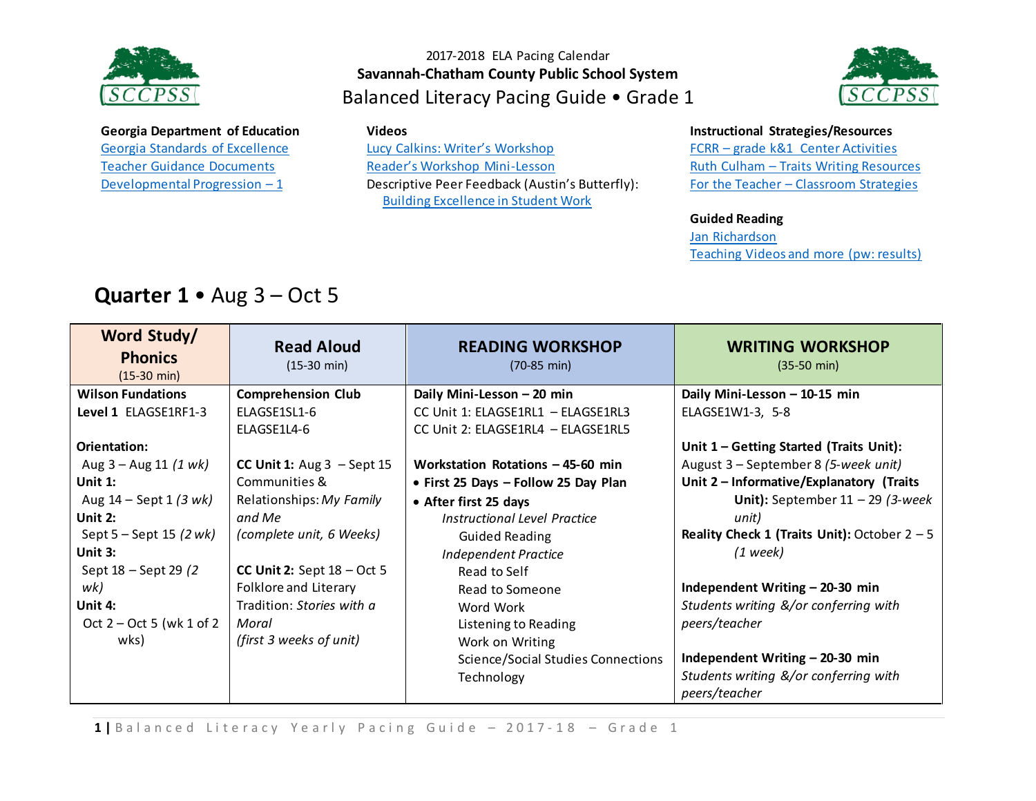



#### **Georgia Department of Education** [Georgia Standards of Excellence](https://drive.google.com/open?id=0ByacPIqPkdVwREF0VmVYbUkzREU)

[Teacher Guidance Documents](https://drive.google.com/open?id=0ByacPIqPkdVwSkIxQnhSX2JtdDQ) [Developmental Progression](https://drive.google.com/open?id=0ByacPIqPkdVwQUpEOFZDaWpORTA) – 1

#### **Videos**

[Lucy Calkins: Writer's Workshop](https://www.youtube.com/watch?v=zPRM2ZXyrS0&list=PLb5RXypPqP5sNAYNUDEfwaq2QYPauhCcc) [Reader's Workshop Mini](https://www.youtube.com/watch?v=x-wGHenBAEc&index=13&list=PL1R9MLStsjiGBNHPeCMUidYAVX0_1GwNj)-Lesson Descriptive Peer Feedback (Austin's Butterfly): [Building Excellence in Student Work](https://vimeo.com/38247060)

#### **Instructional Strategies/Resources**

FCRR – [grade k&1 Center Activities](http://www.fcrr.org/resources/resources_sca_k-1.html)  Ruth Culham – [Traits Writing Resources](http://www.culhamwriting.com/LIBRARY/RESOURCES/scoringguides.html) For the Teacher – [Classroom Strategies](http://www.fortheteachers.org/instructional_strategies/)

#### **Guided Reading**

[Jan Richardson](http://www.janrichardsonguidedreading.com/home) [Teaching Videos and more \(pw: results\)](http://www.scholastic.com/NSFresources/)

# **Quarter 1** • Aug 3 – Oct 5

| Word Study/                             | <b>Read Aloud</b>            | <b>READING WORKSHOP</b>                   | <b>WRITING WORKSHOP</b>                        |
|-----------------------------------------|------------------------------|-------------------------------------------|------------------------------------------------|
| <b>Phonics</b><br>$(15-30 \text{ min})$ | $(15-30 \text{ min})$        | $(70-85 \text{ min})$                     | $(35-50 \text{ min})$                          |
| <b>Wilson Fundations</b>                | <b>Comprehension Club</b>    | Daily Mini-Lesson - 20 min                | Daily Mini-Lesson - 10-15 min                  |
| Level 1 ELAGSE1RF1-3                    | ELAGSE1SL1-6                 | CC Unit 1: ELAGSE1RL1 - ELAGSE1RL3        | ELAGSE1W1-3, 5-8                               |
|                                         | ELAGSE1L4-6                  | CC Unit 2: ELAGSE1RL4 - ELAGSE1RL5        |                                                |
| Orientation:                            |                              |                                           | Unit 1 - Getting Started (Traits Unit):        |
| Aug $3 -$ Aug 11 (1 wk)                 | CC Unit 1: $Aug 3 - Sept 15$ | Workstation Rotations - 45-60 min         | August 3 – September 8 (5-week unit)           |
| Unit $1$ :                              | Communities &                | • First 25 Days - Follow 25 Day Plan      | Unit 2 - Informative/Explanatory (Traits       |
| Aug $14 -$ Sept 1 (3 wk)                | Relationships: My Family     | • After first 25 days                     | Unit): September $11 - 29$ (3-week             |
| Unit 2:                                 | and Me                       | Instructional Level Practice              | unit)                                          |
| Sept $5 -$ Sept 15 (2 wk)               | (complete unit, 6 Weeks)     | <b>Guided Reading</b>                     | Reality Check 1 (Traits Unit): October $2 - 5$ |
| Unit 3:                                 |                              | <b>Independent Practice</b>               | $(1$ week)                                     |
| Sept 18 - Sept 29 (2)                   | CC Unit 2: Sept $18 - Oct$ 5 | Read to Self                              |                                                |
| wk)                                     | Folklore and Literary        | Read to Someone                           | Independent Writing - 20-30 min                |
| Unit 4:                                 | Tradition: Stories with a    | Word Work                                 | Students writing &/or conferring with          |
| Oct $2 - Oct 5$ (wk 1 of 2)             | Moral                        | Listening to Reading                      | peers/teacher                                  |
| wks)                                    | (first 3 weeks of unit)      | Work on Writing                           |                                                |
|                                         |                              | <b>Science/Social Studies Connections</b> | Independent Writing - 20-30 min                |
|                                         |                              | Technology                                | Students writing &/or conferring with          |
|                                         |                              |                                           | peers/teacher                                  |

1 | Balanced Literacy Yearly Pacing Guide - 2017-18 - Grade 1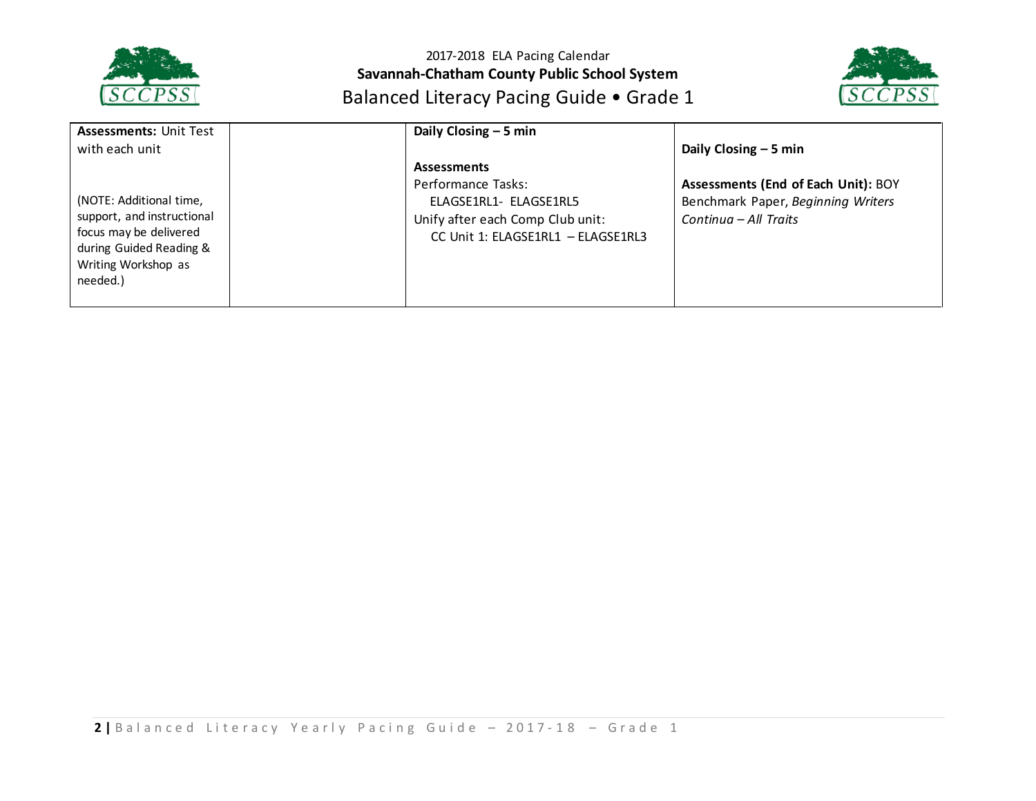



| <b>Assessments: Unit Test</b>                                                                                                                 | Daily Closing $-5$ min                                                                                                                       |                                                                                                    |
|-----------------------------------------------------------------------------------------------------------------------------------------------|----------------------------------------------------------------------------------------------------------------------------------------------|----------------------------------------------------------------------------------------------------|
| with each unit                                                                                                                                |                                                                                                                                              | Daily Closing $-5$ min                                                                             |
| (NOTE: Additional time,<br>support, and instructional<br>focus may be delivered<br>during Guided Reading &<br>Writing Workshop as<br>needed.) | <b>Assessments</b><br>Performance Tasks:<br>ELAGSE1RL1- ELAGSE1RL5<br>Unify after each Comp Club unit:<br>CC Unit 1: ELAGSE1RL1 - ELAGSE1RL3 | Assessments (End of Each Unit): BOY<br>Benchmark Paper, Beginning Writers<br>Continua – All Traits |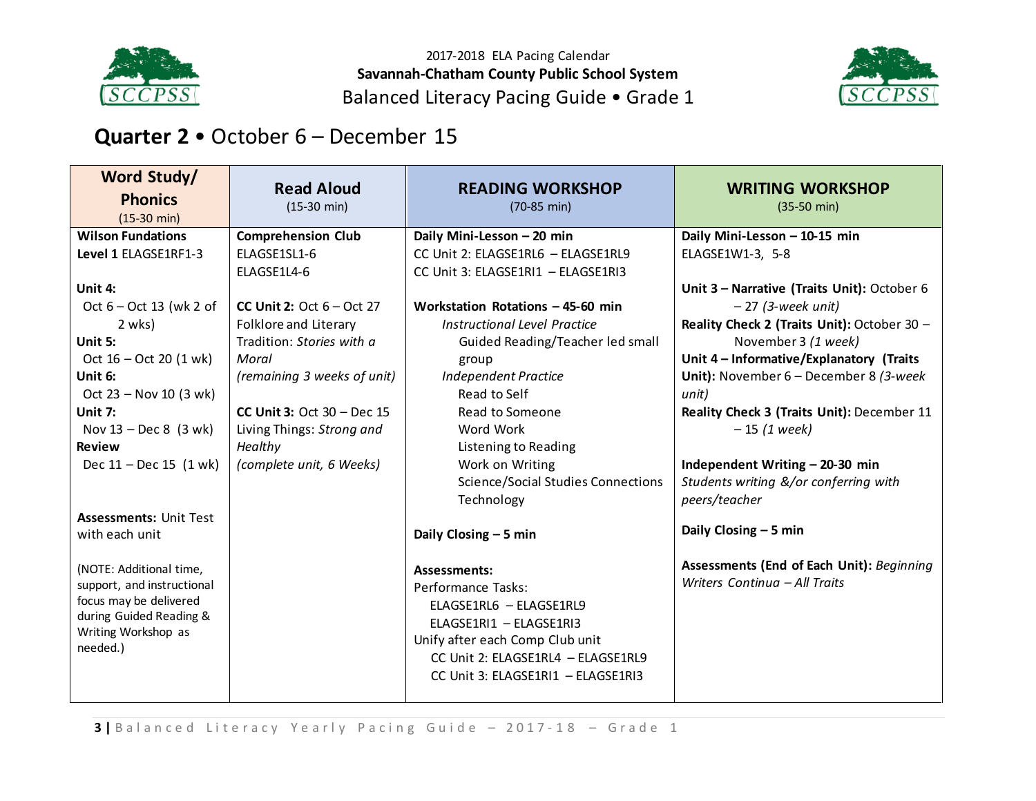



## **Quarter 2** • October 6 – December 15

| Word Study/                     | <b>Read Aloud</b>                  | <b>READING WORKSHOP</b>                   | <b>WRITING WORKSHOP</b>                     |
|---------------------------------|------------------------------------|-------------------------------------------|---------------------------------------------|
| <b>Phonics</b>                  | $(15-30 \text{ min})$              | $(70-85 \text{ min})$                     | $(35-50 \text{ min})$                       |
| $(15-30 \text{ min})$           |                                    |                                           |                                             |
| <b>Wilson Fundations</b>        | <b>Comprehension Club</b>          | Daily Mini-Lesson - 20 min                | Daily Mini-Lesson - 10-15 min               |
| Level 1 ELAGSE1RF1-3            | ELAGSE1SL1-6                       | CC Unit 2: ELAGSE1RL6 - ELAGSE1RL9        | ELAGSE1W1-3, 5-8                            |
|                                 | ELAGSE1L4-6                        | CC Unit 3: ELAGSE1RI1 - ELAGSE1RI3        |                                             |
| Unit 4:                         |                                    |                                           | Unit 3 - Narrative (Traits Unit): October 6 |
| Oct $6 - Oct$ 13 (wk 2 of       | <b>CC Unit 2:</b> Oct $6 - Oct$ 27 | Workstation Rotations - 45-60 min         | $-27$ (3-week unit)                         |
| 2 wks)                          | Folklore and Literary              | Instructional Level Practice              | Reality Check 2 (Traits Unit): October 30 - |
| Unit 5:                         | Tradition: Stories with a          | Guided Reading/Teacher led small          | November 3 (1 week)                         |
| Oct $16 - Oct 20 (1 wk)$        | Moral                              | group                                     | Unit 4 - Informative/Explanatory (Traits    |
| Unit 6:                         | (remaining 3 weeks of unit)        | <b>Independent Practice</b>               | Unit): November $6$ – December 8 (3-week    |
| Oct $23 - Nov 10 (3 wk)$        |                                    | Read to Self                              | unit)                                       |
| Unit 7:                         | CC Unit 3: Oct $30 - Dec 15$       | Read to Someone                           | Reality Check 3 (Traits Unit): December 11  |
| Nov $13 - Dec 8$ (3 wk)         | Living Things: Strong and          | Word Work                                 | $-15$ (1 week)                              |
| <b>Review</b>                   | Healthy                            | Listening to Reading                      |                                             |
| Dec $11 - Dec 15$ $(1 wk)$      | (complete unit, 6 Weeks)           | Work on Writing                           | Independent Writing - 20-30 min             |
|                                 |                                    | <b>Science/Social Studies Connections</b> | Students writing &/or conferring with       |
|                                 |                                    | Technology                                | peers/teacher                               |
| <b>Assessments: Unit Test</b>   |                                    |                                           |                                             |
| with each unit                  |                                    | Daily Closing - 5 min                     | Daily Closing $-5$ min                      |
|                                 |                                    |                                           |                                             |
| (NOTE: Additional time,         |                                    | <b>Assessments:</b>                       | Assessments (End of Each Unit): Beginning   |
| support, and instructional      |                                    | Performance Tasks:                        | Writers Continua - All Traits               |
| focus may be delivered          |                                    | ELAGSE1RL6 - ELAGSE1RL9                   |                                             |
| during Guided Reading &         |                                    | ELAGSE1RI1 - ELAGSE1RI3                   |                                             |
| Writing Workshop as<br>needed.) |                                    | Unify after each Comp Club unit           |                                             |
|                                 |                                    | CC Unit 2: ELAGSE1RL4 - ELAGSE1RL9        |                                             |
|                                 |                                    | CC Unit 3: ELAGSE1RI1 - ELAGSE1RI3        |                                             |
|                                 |                                    |                                           |                                             |

**3** | Balanced Literacy Yearly Pacing Guide - 2017-18 - Grade 1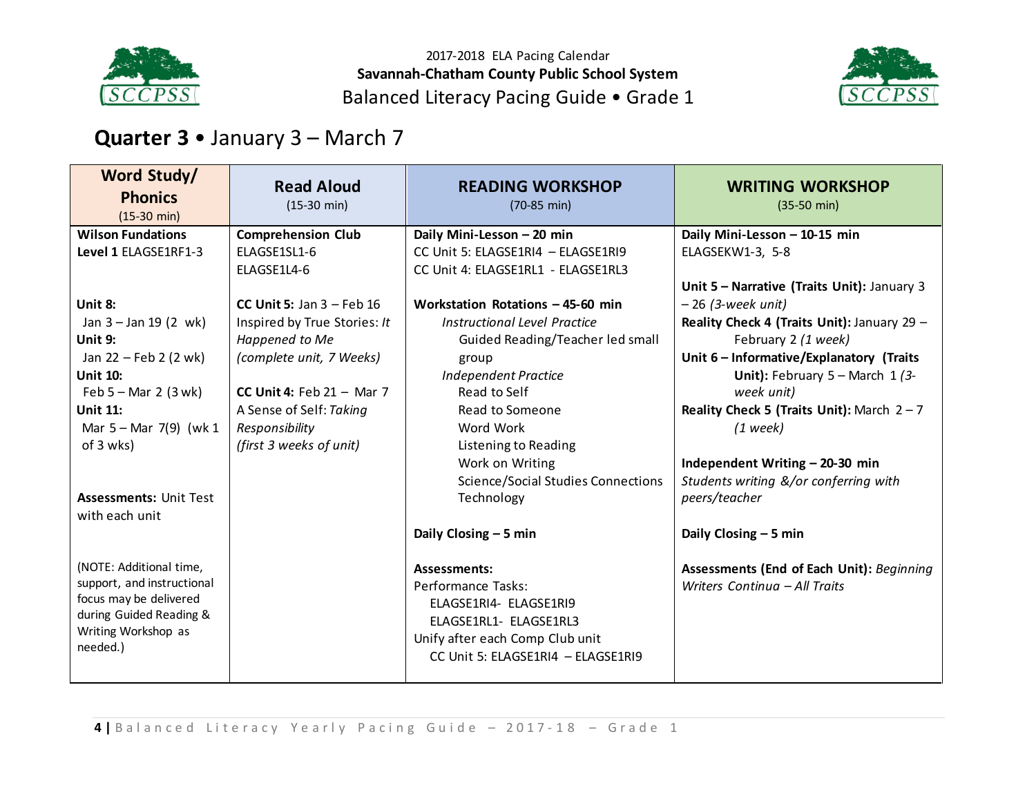



# **Quarter 3** • January 3 – March 7

| Word Study/<br><b>Phonics</b><br>$(15-30 \text{ min})$ | <b>Read Aloud</b><br>$(15-30 \text{ min})$ | <b>READING WORKSHOP</b><br>$(70-85 \text{ min})$        | <b>WRITING WORKSHOP</b><br>$(35-50 \text{ min})$       |
|--------------------------------------------------------|--------------------------------------------|---------------------------------------------------------|--------------------------------------------------------|
| <b>Wilson Fundations</b>                               | <b>Comprehension Club</b>                  | Daily Mini-Lesson - 20 min                              | Daily Mini-Lesson - 10-15 min                          |
| Level 1 ELAGSE1RF1-3                                   | ELAGSE1SL1-6                               | CC Unit 5: ELAGSE1RI4 - ELAGSE1RI9                      | ELAGSEKW1-3, 5-8                                       |
|                                                        | ELAGSE1L4-6                                | CC Unit 4: ELAGSE1RL1 - ELAGSE1RL3                      |                                                        |
|                                                        |                                            |                                                         | Unit 5 - Narrative (Traits Unit): January 3            |
| Unit 8:                                                | CC Unit 5: Jan $3$ – Feb 16                | Workstation Rotations - 45-60 min                       | $-26$ (3-week unit)                                    |
| Jan $3 -$ Jan 19 (2 wk)                                | Inspired by True Stories: It               | <b>Instructional Level Practice</b>                     | Reality Check 4 (Traits Unit): January 29 -            |
| Unit 9:                                                | Happened to Me                             | Guided Reading/Teacher led small                        | February 2 (1 week)                                    |
| Jan 22 - Feb 2 (2 wk)                                  | (complete unit, 7 Weeks)                   | group                                                   | Unit 6 - Informative/Explanatory (Traits               |
| <b>Unit 10:</b>                                        |                                            | <b>Independent Practice</b>                             | Unit): February $5 -$ March $1/3$ -                    |
| Feb $5 -$ Mar 2 (3 wk)                                 | CC Unit 4: Feb $21 -$ Mar 7                | Read to Self                                            | week unit)                                             |
| <b>Unit 11:</b>                                        | A Sense of Self: Taking                    | Read to Someone                                         | Reality Check 5 (Traits Unit): March $2 - 7$           |
| Mar $5 -$ Mar 7(9) (wk 1                               | Responsibility                             | Word Work                                               | $(1$ week)                                             |
| of 3 wks)                                              | (first 3 weeks of unit)                    | Listening to Reading                                    |                                                        |
|                                                        |                                            | Work on Writing                                         | Independent Writing - 20-30 min                        |
| <b>Assessments: Unit Test</b>                          |                                            | <b>Science/Social Studies Connections</b><br>Technology | Students writing &/or conferring with<br>peers/teacher |
| with each unit                                         |                                            |                                                         |                                                        |
|                                                        |                                            | Daily Closing $-5$ min                                  | Daily Closing $-5$ min                                 |
| (NOTE: Additional time,                                |                                            | <b>Assessments:</b>                                     | Assessments (End of Each Unit): Beginning              |
| support, and instructional                             |                                            | Performance Tasks:                                      | Writers Continua - All Traits                          |
| focus may be delivered                                 |                                            | ELAGSE1RI4- ELAGSE1RI9                                  |                                                        |
| during Guided Reading &                                |                                            | ELAGSE1RL1- ELAGSE1RL3                                  |                                                        |
| Writing Workshop as<br>needed.)                        |                                            | Unify after each Comp Club unit                         |                                                        |
|                                                        |                                            | CC Unit 5: ELAGSE1RI4 - ELAGSE1RI9                      |                                                        |
|                                                        |                                            |                                                         |                                                        |